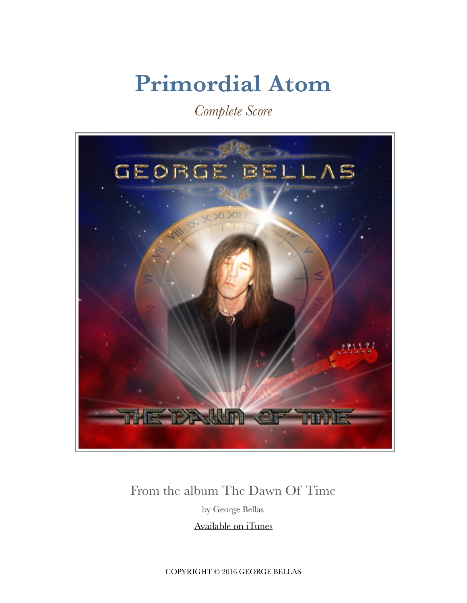### **Primordial Atom**

### *Complete Score*



#### From the album The Dawn Of Time

by George Bellas

[Available on iTunes](https://itunes.apple.com/us/album/astral-projection/id646714673)

COPYRIGHT © 2016 GEORGE BELLAS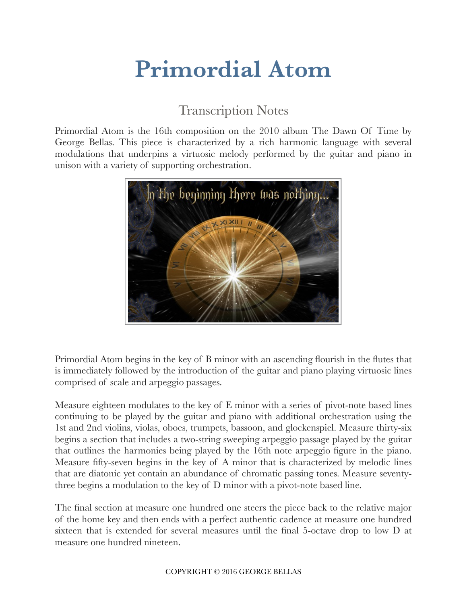# **Primordial Atom**

#### Transcription Notes

Primordial Atom is the 16th composition on the 2010 album The Dawn Of Time by George Bellas. This piece is characterized by a rich harmonic language with several modulations that underpins a virtuosic melody performed by the guitar and piano in unison with a variety of supporting orchestration.



Primordial Atom begins in the key of B minor with an ascending flourish in the flutes that is immediately followed by the introduction of the guitar and piano playing virtuosic lines comprised of scale and arpeggio passages.

Measure eighteen modulates to the key of E minor with a series of pivot-note based lines continuing to be played by the guitar and piano with additional orchestration using the 1st and 2nd violins, violas, oboes, trumpets, bassoon, and glockenspiel. Measure thirty-six begins a section that includes a two-string sweeping arpeggio passage played by the guitar that outlines the harmonies being played by the 16th note arpeggio figure in the piano. Measure fifty-seven begins in the key of A minor that is characterized by melodic lines that are diatonic yet contain an abundance of chromatic passing tones. Measure seventythree begins a modulation to the key of D minor with a pivot-note based line.

The final section at measure one hundred one steers the piece back to the relative major of the home key and then ends with a perfect authentic cadence at measure one hundred sixteen that is extended for several measures until the final 5-octave drop to low D at measure one hundred nineteen.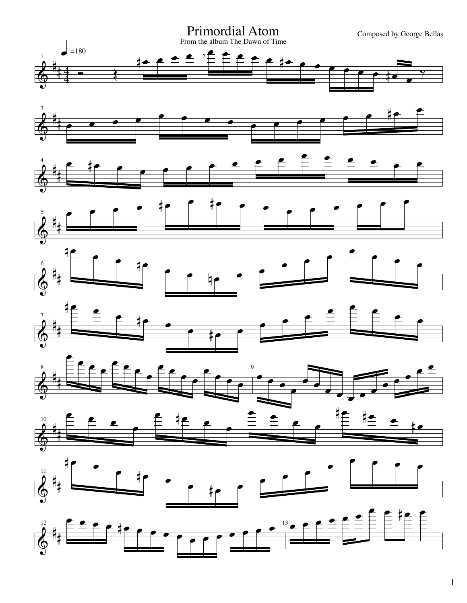

1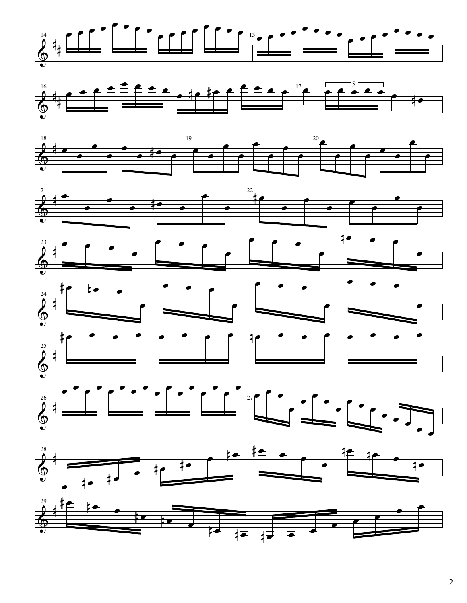

















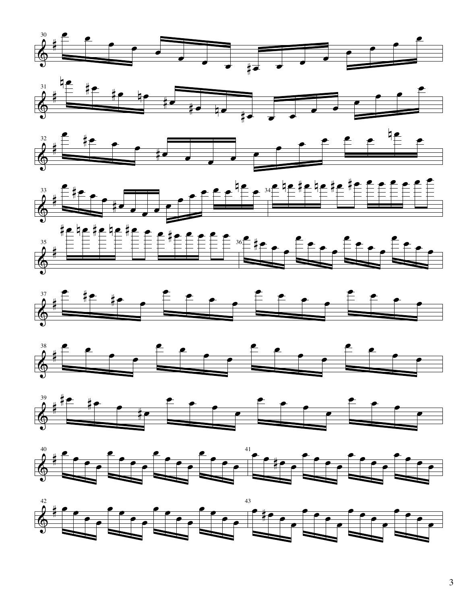















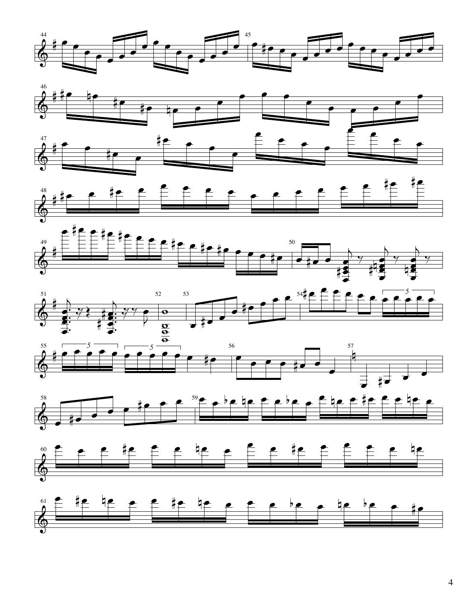















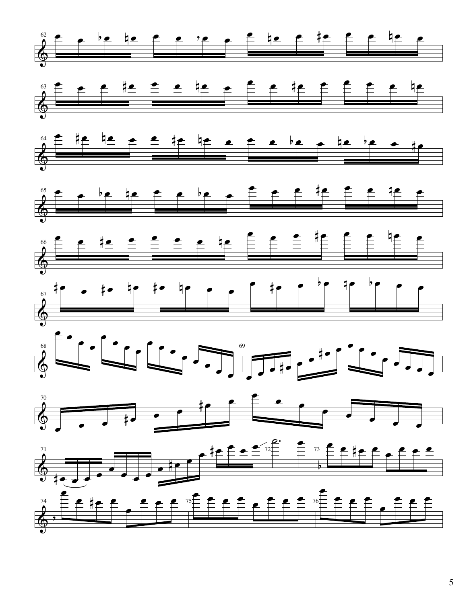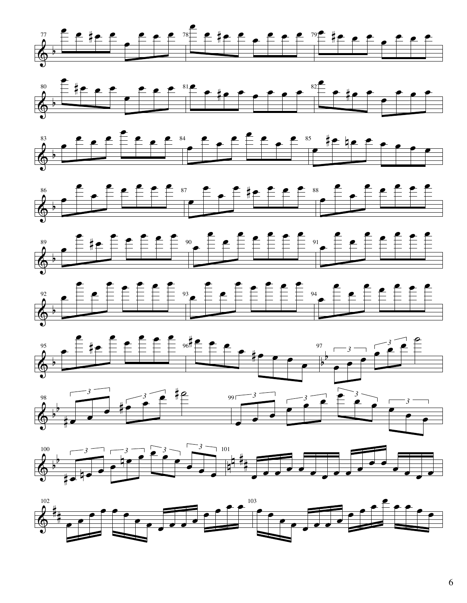

















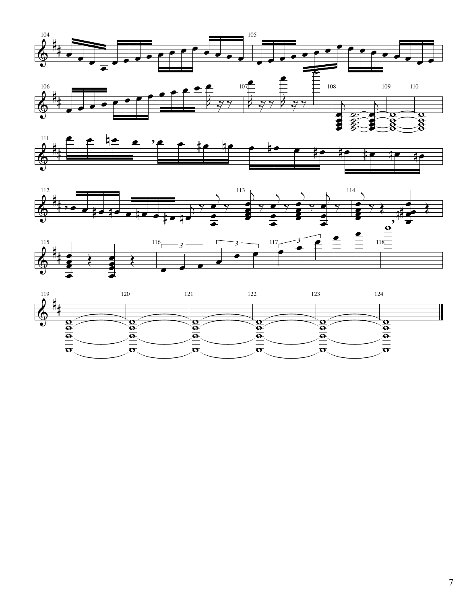